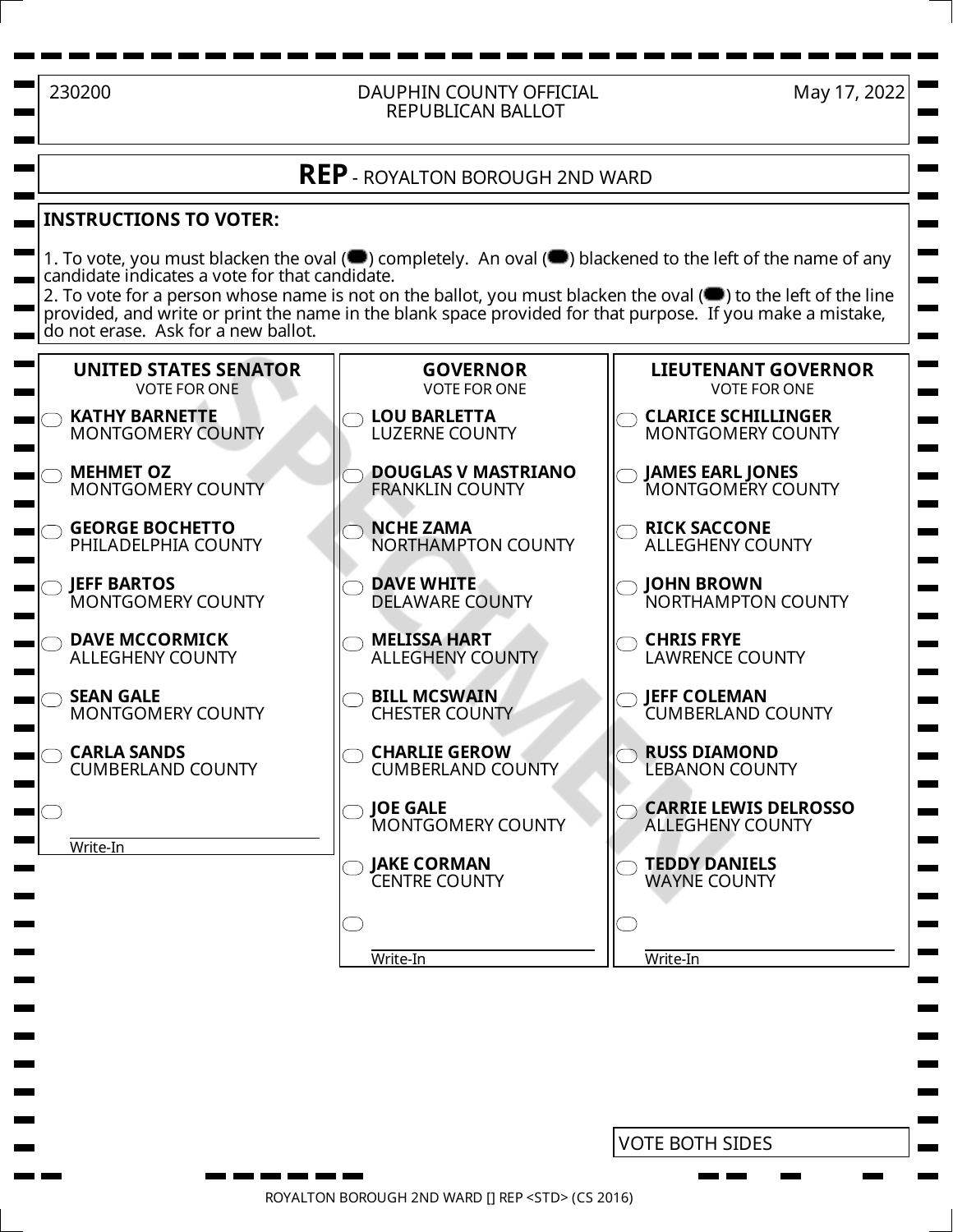## 230200 DAUPHIN COUNTY OFFICIAL REPUBLICAN BALLOT

May 17, 2022

## **REP**- ROYALTON BOROUGH 2ND WARD

## **INSTRUCTIONS TO VOTER:**

1. To vote, you must blacken the oval ( $\bullet$ ) completely. An oval ( $\bullet$ ) blackened to the left of the name of any candidate indicates a vote for that candidate.

2. To vote for a person whose name is not on the ballot, you must blacken the oval  $($ **)** to the left of the line provided, and write or print the name in the blank space provided for that purpose. If you make a mistake, do not erase. Ask for a new ballot.



VOTE BOTH SIDES